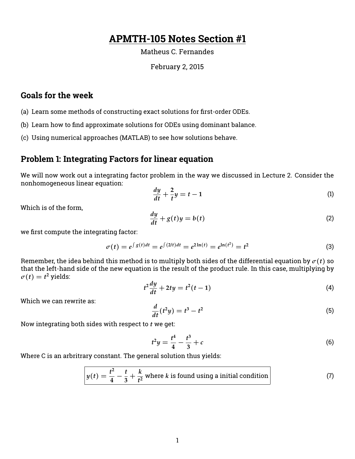# **APMTH-105 Notes Section #1**

#### Matheus C. Fernandes

#### February 2, 2015

### **Goals for the week**

- (a) Learn some methods of constructing exact solutions for first-order ODEs.
- (b) Learn how to find approximate solutions for ODEs using dominant balance.
- (c) Using numerical approaches (MATLAB) to see how solutions behave.

#### **Problem 1: Integrating Factors for linear equation**

We will now work out a integrating factor problem in the way we discussed in Lecture 2. Consider the nonhomogeneous linear equation:

$$
\frac{dy}{dt} + \frac{2}{t}y = t - 1\tag{1}
$$

Which is of the form,

$$
\frac{dy}{dt} + g(t)y = b(t) \tag{2}
$$

we first compute the integrating factor:

$$
\sigma(t) = e^{\int g(t)dt} = e^{\int (2/t)dt} = e^{2\ln(t)} = e^{\ln(t^2)} = t^2
$$
\n(3)

Remember, the idea behind this method is to multiply both sides of the differential equation by  $\sigma(t)$  so that the left-hand side of the new equation is the result of the product rule. In this case, multiplying by  $\sigma(t) = t^2$  yields:

$$
t^2\frac{dy}{dt} + 2ty = t^2(t-1) \tag{4}
$$

Which we can rewrite as:

$$
\frac{d}{dt}(t^2y) = t^3 - t^2\tag{5}
$$

Now integrating both sides with respect to *t* we get:

$$
t^2 y = \frac{t^4}{4} - \frac{t^3}{3} + c \tag{6}
$$

Where C is an arbritrary constant. The general solution thus yields:

$$
y(t) = \frac{t^2}{4} - \frac{t}{3} + \frac{k}{t^2}
$$
 where *k* is found using a initial condition (7)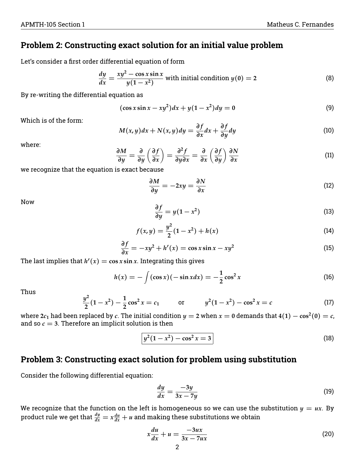### **Problem 2: Constructing exact solution for an initial value problem**

Let's consider a first order differential equation of form

$$
\frac{dy}{dx} = \frac{xy^2 - \cos x \sin x}{y(1 - x^2)}
$$
 with initial condition  $y(0) = 2$  (8)

By re-writing the differential equation as

$$
(\cos x \sin x - xy^2)dx + y(1 - x^2)dy = 0
$$
\n(9)

Which is of the form:

$$
M(x,y)dx + N(x,y)dy = \frac{\partial f}{\partial x}dx + \frac{\partial f}{\partial y}dy
$$
\n(10)

where:

$$
\frac{\partial M}{\partial y} = \frac{\partial}{\partial y} \left( \frac{\partial f}{\partial x} \right) = \frac{\partial^2 f}{\partial y \partial x} = \frac{\partial}{\partial x} \left( \frac{\partial f}{\partial y} \right) \frac{\partial N}{\partial x}
$$
(11)

we recognize that the equation is exact because

$$
\frac{\partial M}{\partial y} = -2xy = \frac{\partial N}{\partial x} \tag{12}
$$

Now

$$
\frac{\partial f}{\partial y} = y(1 - x^2) \tag{13}
$$

$$
f(x,y) = \frac{y^2}{2}(1-x^2) + h(x)
$$
 (14)

$$
\frac{\partial f}{\partial x} = -xy^2 + h'(x) = \cos x \sin x - xy^2 \tag{15}
$$

The last implies that  $h'(x) = \cos x \sin x$ . Integrating this gives

$$
h(x) = -\int (\cos x)(-\sin x dx) = -\frac{1}{2}\cos^2 x \tag{16}
$$

Thus

$$
\frac{y^2}{2}(1-x^2) - \frac{1}{2}\cos^2 x = c_1 \qquad \text{or} \qquad y^2(1-x^2) - \cos^2 x = c \tag{17}
$$

where 2 $c_1$  had been replaced by  $c$ . The initial condition  $y=$  2 when  $x=$  0 demands that 4(1)  $\cos^2(0)=c$ , and so  $c = 3$ . Therefore an implicit solution is then

$$
y^2(1-x^2) - \cos^2 x = 3
$$
 (18)

#### **Problem 3: Constructing exact solution for problem using substitution**

Consider the following differential equation:

$$
\frac{dy}{dx} = \frac{-3y}{3x - 7y} \tag{19}
$$

We recognize that the function on the left is homogeneous so we can use the substitution  $y = ux$ . By product rule we get that  $\frac{dy}{dx} = x\frac{du}{dx} + u$  and making these substitutions we obtain

$$
x\frac{du}{dx} + u = \frac{-3ux}{3x - 7ux} \tag{20}
$$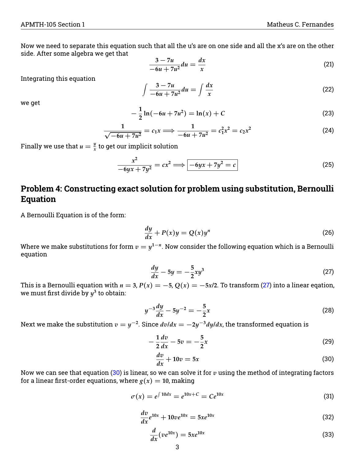Now we need to separate this equation such that all the u's are on one side and all the x's are on the other side. After some algebra we get that

$$
\frac{3 - 7u}{-6u + 7u^2} du = \frac{dx}{x}
$$
 (21)

Integrating this equation

$$
\int \frac{3-7u}{-6u+7u^2} du = \int \frac{dx}{x}
$$
\n(22)

we get

$$
-\frac{1}{2}\ln(-6u+7u^2) = \ln(x) + C
$$
\n(23)

$$
\frac{1}{\sqrt{-6u+7u^2}} = c_1x \Longrightarrow \frac{1}{-6u+7u^2} = c_1^2x^2 = c_2x^2 \tag{24}
$$

Finally we use that  $u = \frac{y}{x}$  $\frac{y}{x}$  to get our implicit solution

$$
\frac{x^2}{-6yx+7y^2} = cx^2 \Longrightarrow \boxed{-6yx+7y^2=c} \tag{25}
$$

## **Problem 4: Constructing exact solution for problem using substitution, Bernoulli Equation**

A Bernoulli Equation is of the form:

$$
\frac{dy}{dx} + P(x)y = Q(x)y^{n}
$$
\n(26)

Where we make substitutions for form  $v = y^{1-n}$ . Now consider the following equation which is a Bernoulli equation

<span id="page-2-0"></span>
$$
\frac{dy}{dx} - 5y = -\frac{5}{2}xy^3\tag{27}
$$

This is a Bernoulli equation with  $n = 3$ ,  $P(x) = -5$ ,  $Q(x) = -5x/2$ . To transform [\(27\)](#page-2-0) into a linear eqation, we must first divide by  $y^3$  to obtain:

$$
y^{-3}\frac{dy}{dx} - 5y^{-2} = -\frac{5}{2}x\tag{28}
$$

Next we make the substitution  $v = y^{-2}$ . Since  $dv/dx = -2y^{-3}dy/dx$ , the transformed equation is

$$
-\frac{1}{2}\frac{dv}{dx} - 5v = -\frac{5}{2}x\tag{29}
$$

<span id="page-2-1"></span>
$$
\frac{dv}{dx} + 10v = 5x\tag{30}
$$

Now we can see that equation [\(30\)](#page-2-1) is linear, so we can solve it for *v* using the method of integrating factors for a linear first-order equations, where  $g(x) = 10$ , making

$$
\sigma(x) = e^{\int 10 dx} = e^{10x + C} = Ce^{10x}
$$
\n(31)

$$
\frac{dv}{dx}e^{10x} + 10ve^{10x} = 5xe^{10x}
$$
\n(32)

$$
\frac{d}{dx}(ve^{10x}) = 5xe^{10x} \tag{33}
$$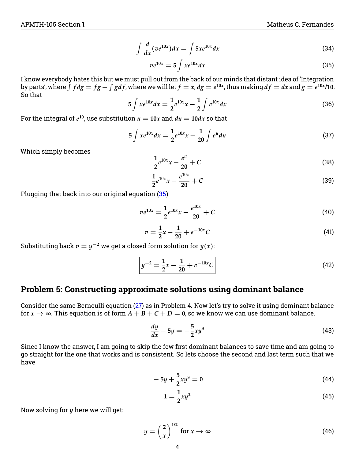$$
\int \frac{d}{dx} (ve^{10x}) dx = \int 5xe^{10x} dx
$$
\n(34)

<span id="page-3-0"></span>
$$
ve^{10x} = 5 \int xe^{10x} dx \tag{35}
$$

I know everybody hates this but we must pull out from the back of our minds that distant idea of 'Integration by parts', where  $\int f dg = fg - \int g df$ , where we will let  $f = x$ ,  $dg = e^{10x}$ , thus making  $df = dx$  and  $g = e^{10x}/10$ . So that

$$
5\int xe^{10x}dx = \frac{1}{2}e^{10x}x - \frac{1}{2}\int e^{10x}dx
$$
 (36)

For the integral of  $e^{10}$ , use substitution  $u = 10x$  and  $du = 10dx$  so that

$$
5 \int xe^{10x} dx = \frac{1}{2}e^{10x}x - \frac{1}{20} \int e^u du
$$
 (37)

Which simply becomes

$$
\frac{1}{2}e^{10x}x - \frac{e^u}{20} + C
$$
\n(38)

$$
\frac{1}{2}e^{10x}x - \frac{e^{10x}}{20} + C
$$
\n(39)

Plugging that back into our original equation [\(35\)](#page-3-0)

$$
ve^{10x} = \frac{1}{2}e^{10x}x - \frac{e^{10x}}{20} + C
$$
 (40)

$$
v = \frac{1}{2}x - \frac{1}{20} + e^{-10x}C
$$
 (41)

Substituting back  $v = y^{-2}$  we get a closed form solution for  $y(x)$ :

<span id="page-3-1"></span>
$$
y^{-2} = \frac{1}{2}x - \frac{1}{20} + e^{-10x}C
$$
 (42)

### **Problem 5: Constructing approximate solutions using dominant balance**

Consider the same Bernoulli equation [\(27\)](#page-2-0) as in Problem 4. Now let's try to solve it using dominant balance for  $x \rightarrow \infty$ . This equation is of form  $A + B + C + D = 0$ , so we know we can use dominant balance.

$$
\frac{dy}{dx} - 5y = -\frac{5}{2}xy^3\tag{43}
$$

Since I know the answer, I am going to skip the few first dominant balances to save time and am going to go straight for the one that works and is consistent. So lets choose the second and last term such that we have

$$
-5y + \frac{5}{2}xy^3 = 0 \tag{44}
$$

$$
1 = \frac{1}{2}xy^2\tag{45}
$$

Now solving for *y* here we will get:

$$
y = \left(\frac{2}{x}\right)^{1/2} \text{ for } x \to \infty
$$
 (46)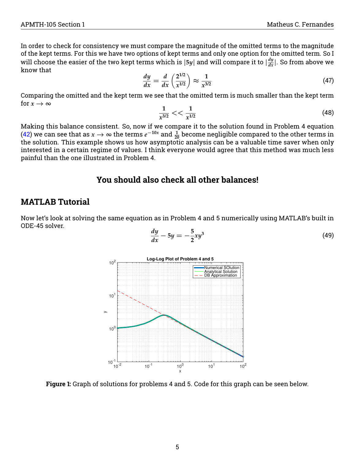In order to check for consistency we must compare the magnitude of the omitted terms to the magnitude of the kept terms. For this we have two options of kept terms and only one option for the omitted term. So I will choose the easier of the two kept terms which is  $|5y|$  and will compare it to  $|\frac{dy}{dx}|$ . So from above we know that

$$
\frac{dy}{dx} = \frac{d}{dx}\left(\frac{2^{1/2}}{x^{1/2}}\right) \approx \frac{1}{x^{3/2}}\tag{47}
$$

Comparing the omitted and the kept term we see that the omitted term is much smaller than the kept term for  $x \to \infty$ 

$$
\frac{1}{x^{3/2}} << \frac{1}{x^{1/2}}\tag{48}
$$

Making this balance consistent. So, now if we compare it to the solution found in Problem 4 equation [\(42\)](#page-3-1) we can see that as  $x \to \infty$  the terms  $e^{-10x}$  and  $\frac{1}{20}$  become negligible compared to the other terms in the solution. This example shows us how asymptotic analysis can be a valuable time saver when only interested in a certain regime of values. I think everyone would agree that this method was much less painful than the one illustrated in Problem 4.

### **You should also check all other balances!**

### **MATLAB Tutorial**

Now let's look at solving the same equation as in Problem 4 and 5 numerically using MATLAB's built in ODE-45 solver.

$$
\frac{dy}{dx} - 5y = -\frac{5}{2}xy^3\tag{49}
$$



**Figure 1:** Graph of solutions for problems 4 and 5. Code for this graph can be seen below.